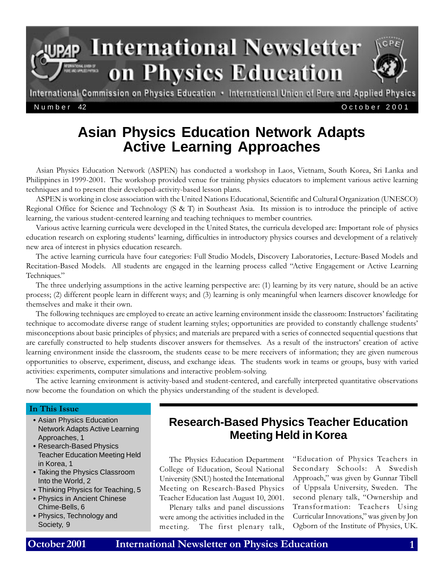

N u m b e r 42 O c t o b e r 2 0 0 1

# **Asian Physics Education Network Adapts Active Learning Approaches**

Asian Physics Education Network (ASPEN) has conducted a workshop in Laos, Vietnam, South Korea, Sri Lanka and Philippines in 1999-2001. The workshop provided venue for training physics educators to implement various active learning techniques and to present their developed-activity-based lesson plans.

ASPEN is working in close association with the United Nations Educational, Scientific and Cultural Organization (UNESCO) Regional Office for Science and Technology (S & T) in Southeast Asia. Its mission is to introduce the principle of active learning, the various student-centered learning and teaching techniques to member countries.

Various active learning curricula were developed in the United States, the curricula developed are: Important role of physics education research on exploring students' learning, difficulties in introductory physics courses and development of a relatively new area of interest in physics education research.

The active learning curricula have four categories: Full Studio Models, Discovery Laboratories, Lecture-Based Models and Recitation-Based Models. All students are engaged in the learning process called "Active Engagement or Active Learning Techniques.

The three underlying assumptions in the active learning perspective are: (1) learning by its very nature, should be an active process; (2) different people learn in different ways; and (3) learning is only meaningful when learners discover knowledge for themselves and make it their own.

The following techniques are employed to create an active learning environment inside the classroom: Instructors' facilitating technique to accomodate diverse range of student learning styles; opportunities are provided to constantly challenge students misconceptions about basic principles of physics; and materials are prepared with a series of connected sequential questions that are carefully constructed to help students discover answers for themselves. As a result of the instructors' creation of active learning environment inside the classroom, the students cease to be mere receivers of information; they are given numerous opportunities to observe, experiment, discuss, and exchange ideas. The students work in teams or groups, busy with varied activities: experiments, computer simulations and interactive problem-solving.

The active learning environment is activity-based and student-centered, and carefully interpreted quantitative observations now become the foundation on which the physics understanding of the student is developed.

# In This Issue

- **•** Asian Physics Education Network Adapts Active Learning Approaches, 1
- **•** Research-Based Physics Teacher Education Meeting Held in Korea, 1
- **•** Taking the Physics Classroom Into the World, 2
- **•** Thinking Physics for Teaching, 5
- **•** Physics in Ancient Chinese Chime-Bells, 6
- **•** Physics, Technology and Society, 9

# **Research-Based Physics Teacher Education Meeting Held in Korea**

The Physics Education Department College of Education, Seoul National University (SNU) hosted the International Meeting on Research-Based Physics Teacher Education last August 10, 2001.

Plenary talks and panel discussions were among the activities included in the meeting. The first plenary talk, Education of Physics Teachers in Secondary Schools: A Swedish Approach," was given by Gunnar Tibell of Uppsala University, Sweden. The second plenary talk, "Ownership and Transformation: Teachers Using Curricular Innovations," was given by Jon Ogborn of the Institute of Physics, UK.

October 2001 **International Newsletter on Physics Education** 1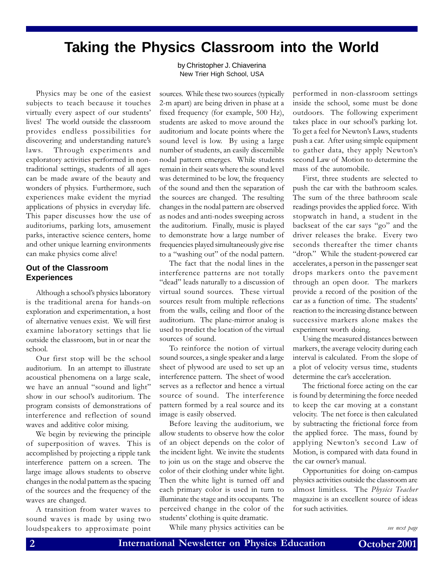# **Taking the Physics Classroom into the World**

by Christopher J. Chiaverina New Trier High School, USA

Physics may be one of the easiest subjects to teach because it touches virtually every aspect of our students lives! The world outside the classroom provides endless possibilities for discovering and understanding nature's laws. Through experiments and exploratory activities performed in nontraditional settings, students of all ages can be made aware of the beauty and wonders of physics. Furthermore, such experiences make evident the myriad applications of physics in everyday life. This paper discusses how the use of auditoriums, parking lots, amusement parks, interactive science centers, home and other unique learning environments can make physics come alive!

## **Out of the Classroom Experiences**

Although a school's physics laboratory is the traditional arena for hands-on exploration and experimentation, a host of alternative venues exist. We will first examine laboratory settings that lie outside the classroom, but in or near the school.

Our first stop will be the school auditorium. In an attempt to illustrate acoustical phenomena on a large scale, we have an annual "sound and light" show in our school's auditorium. The program consists of demonstrations of interference and reflection of sound waves and additive color mixing.

We begin by reviewing the principle of superposition of waves. This is accomplished by projecting a ripple tank interference pattern on a screen. The large image allows students to observe changes in the nodal pattern as the spacing of the sources and the frequency of the waves are changed.

A transition from water waves to sound waves is made by using two loudspeakers to approximate point

sources. While these two sources (typically 2-m apart) are being driven in phase at a fixed frequency (for example, 500 Hz), students are asked to move around the auditorium and locate points where the sound level is low. By using a large number of students, an easily discernible nodal pattern emerges. While students remain in their seats where the sound level was determined to be low, the frequency of the sound and then the separation of the sources are changed. The resulting changes in the nodal pattern are observed as nodes and anti-nodes sweeping across the auditorium. Finally, music is played to demonstrate how a large number of frequencies played simultaneously give rise to a "washing out" of the nodal pattern.

The fact that the nodal lines in the interference patterns are not totally "dead" leads naturally to a discussion of virtual sound sources. These virtual sources result from multiple reflections from the walls, ceiling and floor of the auditorium. The plane-mirror analog is used to predict the location of the virtual sources of sound.

To reinforce the notion of virtual sound sources, a single speaker and a large sheet of plywood are used to set up an interference pattern. The sheet of wood serves as a reflector and hence a virtual source of sound. The interference pattern formed by a real source and its image is easily observed.

Before leaving the auditorium, we allow students to observe how the color of an object depends on the color of the incident light. We invite the students to join us on the stage and observe the color of their clothing under white light. Then the white light is turned off and each primary color is used in turn to illuminate the stage and its occupants. The perceived change in the color of the students' clothing is quite dramatic.

performed in non-classroom settings inside the school, some must be done outdoors. The following experiment takes place in our school's parking lot. To get a feel for Newton's Laws, students push a car. After using simple equipment to gather data, they apply Newton's second Law of Motion to determine the mass of the automobile.

First, three students are selected to push the car with the bathroom scales. The sum of the three bathroom scale readings provides the applied force. With stopwatch in hand, a student in the backseat of the car says "go" and the driver releases the brake. Every two seconds thereafter the timer chants "drop." While the student-powered car accelerates, a person in the passenger seat drops markers onto the pavement through an open door. The markers provide a record of the position of the car as a function of time. The students reaction to the increasing distance between successive markers alone makes the experiment worth doing.

Using the measured distances between markers, the average velocity during each interval is calculated. From the slope of a plot of velocity versus time, students determine the car's acceleration.

The frictional force acting on the car is found by determining the force needed to keep the car moving at a constant velocity. The net force is then calculated by subtracting the frictional force from the applied force. The mass, found by applying Newton's second Law of Motion, is compared with data found in the car owner's manual.

Opportunities for doing on-campus physics activities outside the classroom are almost limitless. The Physics Teacher magazine is an excellent source of ideas for such activities.

While many physics activities can be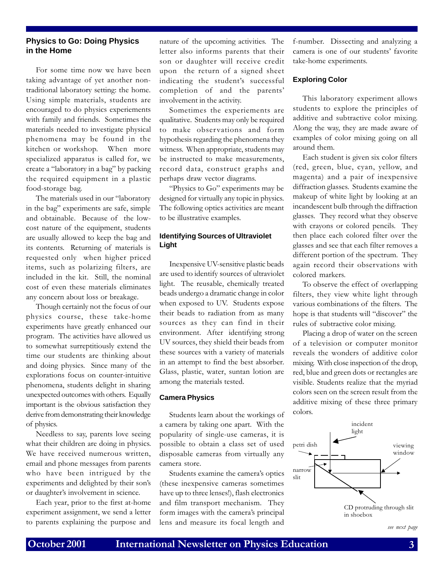### **Physics to Go: Doing Physics in the Home**

For some time now we have been taking advantage of yet another nontraditional laboratory setting: the home. Using simple materials, students are encouraged to do physics experiements with family and friends. Sometimes the materials needed to investigate physical phenomena may be found in the kitchen or workshop. When more specialized apparatus is called for, we create a "laboratory in a bag" by packing the required equipment in a plastic food-storage bag.

The materials used in our "laboratory in the bag" experiments are safe, simple and obtainable. Because of the lowcost nature of the equipment, students are usually allowed to keep the bag and its contents. Returning of materials is requested only when higher priced items, such as polarizing filters, are included in the kit. Still, the nominal cost of even these materials eliminates any concern about loss or breakage.

Though certainly not the focus of our physics course, these take-home experiments have greatly enhanced our program. The activities have allowed us to somewhat surreptitiously extend the time our students are thinking about and doing physics. Since many of the explorations focus on counter-intuitive phenomena, students delight in sharing unexpected outcomes with others. Equally important is the obvious satisfaction they derive from demonstrating their knowledge of physics.

Needless to say, parents love seeing what their children are doing in physics. We have received numerous written, email and phone messages from parents who have been intrigued by the experiments and delighted by their son's or daughter's involvement in science.

Each year, prior to the first at-home experiment assignment, we send a letter to parents explaining the purpose and

nature of the upcoming activities. The letter also informs parents that their son or daughter will receive credit upon the return of a signed sheet indicating the student's successful completion of and the parents involvement in the activity.

Sometimes the experiements are qualitative. Students may only be required to make observations and form hypothesis regarding the phenomena they witness. When appropriate, students may be instructed to make measurements, record data, construct graphs and perhaps draw vector diagrams.

"Physics to Go" experiments may be designed for virtually any topic in physics. The following optics activities are meant to be illustrative examples.

### **Identifying Sources of Ultraviolet Light**

Inexpensive UV-sensitive plastic beads are used to identify sources of ultraviolet light. The reusable, chemically treated beads undergo a dramatic change in color when exposed to UV. Students expose their beads to radiation from as many sources as they can find in their environment. After identifying strong UV sources, they shield their beads from these sources with a variety of materials in an attempt to find the best absorber. Glass, plastic, water, suntan lotion are among the materials tested.

#### **Camera Physics**

Students learn about the workings of a camera by taking one apart. With the popularity of single-use cameras, it is possible to obtain a class set of used disposable cameras from virtually any camera store.

Students examine the camera's optics (these inexpensive cameras sometimes have up to three lenses!), flash electronics and film transport mechanism. They form images with the camera's principal lens and measure its focal length and f-number. Dissecting and analyzing a camera is one of our students' favorite take-home experiments.

### **Exploring Color**

This laboratory experiment allows students to explore the principles of additive and subtractive color mixing. Along the way, they are made aware of examples of color mixing going on all around them.

Each student is given six color filters (red, green, blue, cyan, yellow, and magenta) and a pair of inexpensive diffraction glasses. Students examine the makeup of white light by looking at an incandescent bulb through the diffraction glasses. They record what they observe with crayons or colored pencils. They then place each colored filter over the glasses and see that each filter removes a different portion of the spectrum. They again record their observations with colored markers.

To observe the effect of overlapping filters, they view white light through various combinations of the filters. The hope is that students will "discover" the rules of subtractive color mixing.

Placing a drop of water on the screen of a television or computer monitor reveals the wonders of additive color mixing. With close inspection of the drop, red, blue and green dots or rectangles are visible. Students realize that the myriad colors seen on the screen result from the additive mixing of these three primary colors.



see next page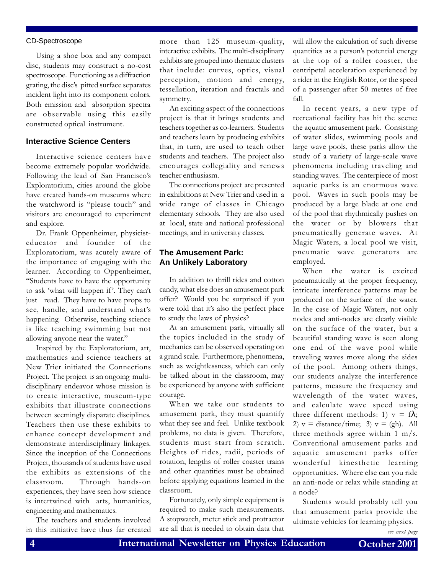#### CD-Spectroscope

Using a shoe box and any compact disc, students may construct a no-cost spectroscope. Functioning as a diffraction grating, the disc's pitted surface separates incident light into its component colors. Both emission and absorption spectra are observable using this easily constructed optical instrument.

### **Interactive Science Centers**

Interactive science centers have become extremely popular worldwide. Following the lead of San Francisco's Exploratorium, cities around the globe have created hands-on museums where the watchword is "please touch" and visitors are encouraged to experiment and explore.

Dr. Frank Oppenheimer, physicisteducator and founder of the Exploratorium, was acutely aware of the importance of engaging with the learner. According to Oppenheimer, Students have to have the opportunity to ask 'what will happen if'. They can't just read. They have to have props to see, handle, and understand what's happening. Otherwise, teaching science is like teaching swimming but not allowing anyone near the water.

Inspired by the Exploratorium, art, mathematics and science teachers at New Trier initiated the Connections Project. The project is an ongoing multidisciplinary endeavor whose mission is to create interactive, museum-type exhibits that illustrate connections between seemingly disparate disciplines. Teachers then use these exhibits to enhance concept development and demonstrate interdisciplinary linkages. Since the inception of the Connections Project, thousands of students have used the exhibits as extensions of the classroom. Through hands-on experiences, they have seen how science is intertwined with arts, humanities, engineering and mathematics.

The teachers and students involved in this initiative have thus far created more than 125 museum-quality, interactive exhibits. The multi-disciplinary exhibits are grouped into thematic clusters that include: curves, optics, visual perception, motion and energy, tessellation, iteration and fractals and symmetry.

An exciting aspect of the connections project is that it brings students and teachers together as co-learners. Students and teachers learn by producing exhibits that, in turn, are used to teach other students and teachers. The project also encourages collegiality and renews teacher enthusiasm.

The connections project are presented in exhibitions at New Trier and used in a wide range of classes in Chicago elementary schools. They are also used at local, state and national professional meetings, and in university classes.

# **The Amusement Park: An Unlikely Laboratory**

In addition to thrill rides and cotton candy, what else does an amusement park offer? Would you be surprised if you were told that it's also the perfect place to study the laws of physics?

At an amusement park, virtually all the topics included in the study of mechanics can be observed operating on a grand scale. Furthermore, phenomena, such as weightlessness, which can only be talked about in the classroom, may be experienced by anyone with sufficient courage.

When we take our students to amusement park, they must quantify what they see and feel. Unlike textbook problems, no data is given. Therefore, students must start from scratch. Heights of rides, radii, periods of rotation, lengths of roller coaster trains and other quantities must be obtained before applying equations learned in the classroom.

Fortunately, only simple equipment is required to make such measurements. A stopwatch, meter stick and protractor are all that is needed to obtain data that will allow the calculation of such diverse quantities as a person's potential energy at the top of a roller coaster, the centripetal acceleration experienced by a rider in the English Rotor, or the speed of a passenger after 50 metres of free fall.

In recent years, a new type of recreational facility has hit the scene: the aquatic amusement park. Consisting of water slides, swimming pools and large wave pools, these parks allow the study of a variety of large-scale wave phenomena including traveling and standing waves. The centerpiece of most aquatic parks is an enormous wave pool. Waves in such pools may be produced by a large blade at one end of the pool that rhythmically pushes on the water or by blowers that pneumatically generate waves. At Magic Waters, a local pool we visit, pneumatic wave generators are employed.

When the water is excited pneumatically at the proper frequency, intricate interference patterns may be produced on the surface of the water. In the case of Magic Waters, not only nodes and anti-nodes are clearly visible on the surface of the water, but a beautiful standing wave is seen along one end of the wave pool while traveling waves move along the sides of the pool. Among others things, our students analyze the interference patterns, measure the frequency and wavelength of the water waves, and calculate wave speed using three different methods: 1)  $v = f\lambda$ ; 2)  $v = distance/time$ ; 3)  $v = (gh)$ . All three methods agree within 1 m/s. Conventional amusement parks and aquatic amusement parks offer wonderful kinesthetic learning opportunities. Where else can you ride an anti-node or relax while standing at a node?

Students would probably tell you that amusement parks provide the ultimate vehicles for learning physics.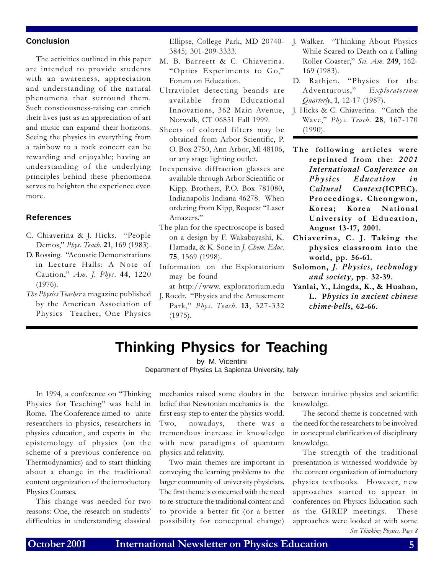### **Conclusion**

The activities outlined in this paper are intended to provide students with an awareness, appreciation and understanding of the natural phenomena that surround them. Such consciousness-raising can enrich their lives just as an appreciation of art and music can expand their horizons. Seeing the physics in everything from a rainbow to a rock concert can be rewarding and enjoyable; having an understanding of the underlying principles behind these phenomena serves to heighten the experience even more.

#### **References**

- C. Chiaverina & J. Hicks. "People Demos," Phys. Teach. 21, 169 (1983).
- D. Rossing. "Acoustic Demonstrations in Lecture Halls: A Note of Caution," Am. J. Phys. 44, 1220 (1976).
- The Physics Teacher a magazine published by the American Association of Physics Teacher, One Physics

Ellipse, College Park, MD 20740- 3845; 301-209-3333.

- M. B. Barreett & C. Chiaverina. "Optics Experiments to Go," Forum on Education.
- Ultraviolet detecting beands are available from Educational Norwalk, CT 06851 Fall 1999.
- Sheets of colored filters may be obtained from Arbor Scientific, P. O. Box 2750, Ann Arbor, Ml 48106, or any stage lighting outlet.
- Inexpensive diffraction glasses are available through Arbor Scientific or Kipp. Brothers, P.O. Box 781080, Indianapolis Indiana 46278. When ordering from Kipp, Request "Laser Amazers."
- The plan for the spectroscope is based on a design by F. Wakabayashi, K. Hamada, & K. Sone in J. Chem. Educ. 75, 1569 (1998).
- Information on the Exploratorium may be found
- at http://www. exploratorium.edu
- J. Roedr. "Physics and the Amusement Park," Phys. Teach. 13, 327-332 (1975).
- J. Walker. "Thinking About Physics While Scared to Death on a Falling Roller Coaster," Sci. Am. 249, 162-169 (1983).
- D. Rathjen. "Physics for the Adventurous," Exploratorium Quarterly, 1, 12-17 (1987).
- Innovations, 362 Main Avenue, J. Hicks & C. Chiaverina. "Catch the Wave," Phys. Teach. 28, 167-170 (1990).
	- The following articles were reprinted from the: 2001 International Conference on Physics Education in Cultural Context(ICPEC). Proceedings. Cheongwon, Korea; Korea National University of Education, August 13-17, 2001.
	- Chiaverina, C. J. Taking the physics classroom into the world, pp. 56-61.
	- Solomon, J. Physics, technology and society, pp. 32-39.
	- Yanlai, Y., Lingda, K., & Huahan, L. Physics in ancient chinese chime-bells, 62-66.

# **Thinking Physics for Teaching**

by M. Vicentini Department of Physics La Sapienza University, Italy

In 1994, a conference on "Thinking" Physics for Teaching" was held in Rome. The Conference aimed to unite researchers in physics, researchers in physics education, and experts in the epistemology of physics (on the scheme of a previous conference on Thermodynamics) and to start thinking about a change in the traditional content organization of the introductory Physics Courses.

This change was needed for two reasons: One, the research on students difficulties in understanding classical mechanics raised some doubts in the belief that Newtonian mechanics is the first easy step to enter the physics world. Two, nowadays, there was a tremendous increase in knowledge with new paradigms of quantum physics and relativity.

Two main themes are important in conveying the learning problems to the larger community of university physicists. The first theme is concerned with the need to re-structure the traditional content and to provide a better fit (or a better possibility for conceptual change)

between intuitive physics and scientific knowledge.

The second theme is concerned with the need for the researchers to be involved in conceptual clarification of disciplinary knowledge.

The strength of the traditional presentation is witnessed worldwide by the content organization of introductory physics textbooks. However, new approaches started to appear in conferences on Physics Education such as the GIREP meetings. These approaches were looked at with some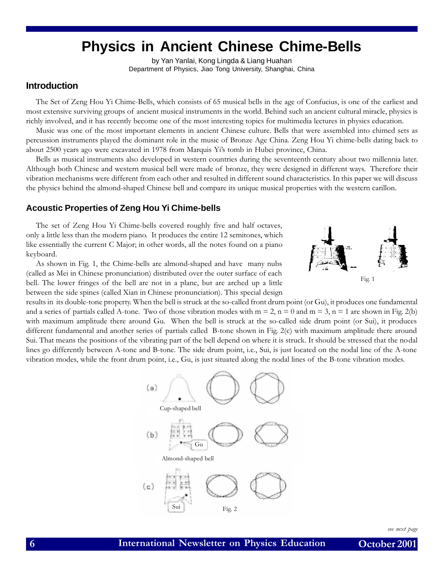# **Physics in Ancient Chinese Chime-Bells**

by Yan Yanlai, Kong Lingda & Liang Huahan Department of Physics, Jiao Tong University, Shanghai, China

# **Introduction**

The Set of Zeng Hou Yi Chime-Bells, which consists of 65 musical bells in the age of Confucius, is one of the earliest and most extensive surviving groups of ancient musical instruments in the world. Behind such an ancient cultural miracle, physics is richly involved, and it has recently become one of the most interesting topics for multimedia lectures in physics education.

Music was one of the most important elements in ancient Chinese culture. Bells that were assembled into chimed sets as percussion instruments played the dominant role in the music of Bronze Age China. Zeng Hou Yi chime-bells dating back to about 2500 years ago were excavated in 1978 from Marquis Yis tomb in Hubei province, China.

Bells as musical instruments also developed in western countries during the seventeenth century about two millennia later. Although both Chinese and western musical bell were made of bronze, they were designed in different ways. Therefore their vibration mechanisms were different from each other and resulted in different sound characteristics. In this paper we will discuss the physics behind the almond-shaped Chinese bell and compare its unique musical properties with the western carillon.

### **Acoustic Properties of Zeng Hou Yi Chime-bells**

The set of Zeng Hou Yi Chime-bells covered roughly five and half octaves, only a little less than the modern piano. It produces the entire 12 semitones, which like essentially the current C Major; in other words, all the notes found on a piano keyboard.

As shown in Fig. 1, the Chime-bells are almond-shaped and have many nubs (called as Mei in Chinese pronunciation) distributed over the outer surface of each bell. The lower fringes of the bell are not in a plane, but are arched up a little between the side spines (called Xian in Chinese pronunciation). This special design



results in its double-tone property. When the bell is struck at the so-called front drum point (or Gu), it produces one fundamental and a series of partials called A-tone. Two of those vibration modes with  $m = 2$ ,  $n = 0$  and  $m = 3$ ,  $n = 1$  are shown in Fig. 2(b) with maximum amplitude there around Gu. When the bell is struck at the so-called side drum point (or Sui), it produces different fundamental and another series of partials called B-tone shown in Fig. 2(c) with maximum amplitude there around Sui. That means the positions of the vibrating part of the bell depend on where it is struck. It should be stressed that the nodal lines go differently between A-tone and B-tone. The side drum point, i.e., Sui, is just located on the nodal line of the A-tone vibration modes, while the front drum point, i.e., Gu, is just situated along the nodal lines of the B-tone vibration modes.



see next page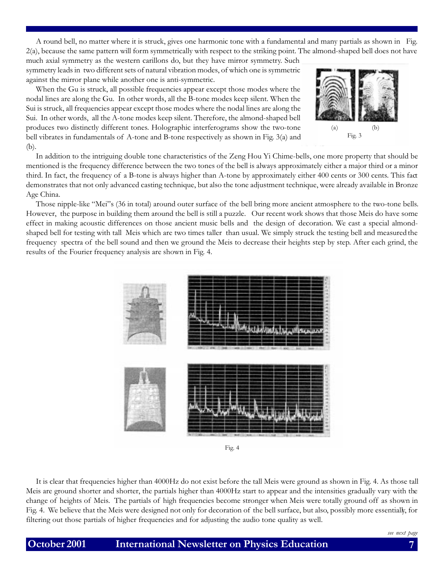A round bell, no matter where it is struck, gives one harmonic tone with a fundamental and many partials as shown in Fig. 2(a), because the same pattern will form symmetrically with respect to the striking point. The almond-shaped bell does not have

much axial symmetry as the western carillons do, but they have mirror symmetry. Such symmetry leads in two different sets of natural vibration modes, of which one is symmetric against the mirror plane while another one is anti-symmetric.

When the Gu is struck, all possible frequencies appear except those modes where the nodal lines are along the Gu. In other words, all the B-tone modes keep silent. When the Sui is struck, all frequencies appear except those modes where the nodal lines are along the Sui. In other words, all the A-tone modes keep silent. Therefore, the almond-shaped bell produces two distinctly different tones. Holographic interferograms show the two-tone bell vibrates in fundamentals of A-tone and B-tone respectively as shown in Fig. 3(a) and (b).



In addition to the intriguing double tone characteristics of the Zeng Hou Yi Chime-bells, one more property that should be mentioned is the frequency difference between the two tones of the bell is always approximately either a major third or a minor third. In fact, the frequency of a B-tone is always higher than A-tone by approximately either 400 cents or 300 cents. This fact demonstrates that not only advanced casting technique, but also the tone adjustment technique, were already available in Bronze Age China.

Those nipple-like "Mei"s (36 in total) around outer surface of the bell bring more ancient atmosphere to the two-tone bells. However, the purpose in building them around the bell is still a puzzle. Our recent work shows that those Meis do have some effect in making acoustic differences on those ancient music bells and the design of decoration. We cast a special almondshaped bell for testing with tall Meis which are two times taller than usual. We simply struck the testing bell and measured the frequency spectra of the bell sound and then we ground the Meis to decrease their heights step by step. After each grind, the results of the Fourier frequency analysis are shown in Fig. 4.





It is clear that frequencies higher than 4000Hz do not exist before the tall Meis were ground as shown in Fig. 4. As those tall Meis are ground shorter and shorter, the partials higher than 4000Hz start to appear and the intensities gradually vary with the change of heights of Meis. The partials of high frequencies become stronger when Meis were totally ground off as shown in Fig. 4. We believe that the Meis were designed not only for decoration of the bell surface, but also, possibly more essentially, for filtering out those partials of higher frequencies and for adjusting the audio tone quality as well.

# October 2001 International Newsletter on Physics Education 7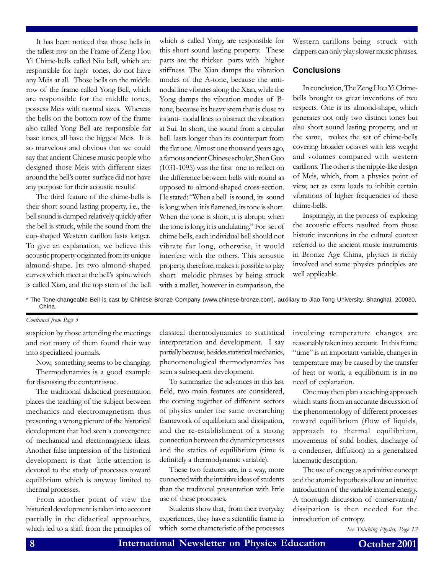It has been noticed that those bells in the tallest row on the Frame of Zeng Hou Yi Chime-bells called Niu bell, which are responsible for high tones, do not have any Meis at all. Those bells on the middle row of the frame called Yong Bell, which are responsible for the middle tones, possess Meis with normal sizes. Whereas the bells on the bottom row of the frame also called Yong Bell are responsible for base tones, all have the biggest Meis. It is so marvelous and obvious that we could say that ancient Chinese music people who designed those Meis with different sizes around the bell's outer surface did not have any purpose for their acoustic results!

The third feature of the chime-bells is their short sound lasting property, i.e., the bell sound is damped relatively quickly after the bell is struck, while the sound from the cup-shaped Western carillon lasts longer. To give an explanation, we believe this acoustic property originated from its unique almond-shape. Its two almond-shaped curves which meet at the bell's spine which is called Xian, and the top stem of the bell

which is called Yong, are responsible for this short sound lasting property. These parts are the thicker parts with higher stiffness. The Xian damps the vibration modes of the A-tone, because the antinodal line vibrates along the Xian, while the Yong damps the vibration modes of Btone, because its heavy stem that is close to its anti- nodal lines to obstract the vibration at Sui. In short, the sound from a circular bell lasts longer than its counterpart from the flat one. Almost one thousand years ago, a famous ancient Chinese scholar, Shen Guo (1031-1095) was the first one to reflect on the difference between bells with round as opposed to almond-shaped cross-section. He stated: When a bell is round, its sound is long; when it is flattened, its tone is short. When the tone is short, it is abrupt; when the tone is long, it is undulating." For set of chime bells, each individual bell should not vibrate for long, otherwise, it would interfere with the others. This acoustic property, therefore, makes it possible to play short melodic phrases by being struck with a mallet, however in comparison, the

Western carillons being struck with clappers can only play slower music phrases.

#### **Conclusions**

In conclusion, The Zeng Hou Yi Chimebells brought us great inventions of two respects. One is its almond-shape, which generates not only two distinct tones but also short sound lasting property, and at the same, makes the set of chime-bells covering broader octaves with less weight and volumes compared with western carillons. The other is the nipple-like design of Meis, which, from a physics point of view, act as extra loads to inhibit certain vibrations of higher frequencies of these chime-bells.

Inspiringly, in the process of exploring the acoustic effects resulted from those historic inventions in the cultural context referred to the ancient music instruments in Bronze Age China, physics is richly involved and some physics principles are well applicable.

\* The Tone-changeable Bell is cast by Chinese Bronze Company (www.chinese-bronze.com), auxiliary to Jiao Tong University, Shanghai, 200030, China.

#### Continued from Page 5

suspicion by those attending the meetings and not many of them found their way into specialized journals.

Now, something seems to be changing.

Thermodynamics is a good example for discussing the content issue.

The traditional didactical presentation places the teaching of the subject between mechanics and electromagnetism thus presenting a wrong picture of the historical development that had seen a convergence of mechanical and electromagnetic ideas. Another false impression of the historical development is that little attention is devoted to the study of processes toward equilibrium which is anyway limited to thermal processes.

From another point of view the historical development is taken into account partially in the didactical approaches, which led to a shift from the principles of classical thermodynamics to statistical interpretation and development. I say partially because, besides statistical mechanics, phenomenological thermodynamics has seen a subsequent development.

To summarize the advances in this last field, two main features are considered, the coming together of different sectors of physics under the same overarching framework of equilibrium and dissipation, and the re-establishment of a strong connection between the dynamic processes and the statics of equilibrium (time is definitely a thermodynamic variable).

These two features are, in a way, more connected with the intuitive ideas of students than the traditonal presentation with little use of these processes.

Students show that, from their everyday experiences, they have a scientific frame in which some characteristic of the processes

involving temperature changes are reasonably taken into account. In this frame "time" is an important variable, changes in temperature may be caused by the transfer of heat or work, a equilibrium is in no need of explanation.

One may then plan a teaching approach which starts from an accurate discussion of the phenomenology of different processes toward equilibrium (flow of liquids, approach to thermal equilibrium, movements of solid bodies, discharge of a condenser, diffusion) in a generalized kinematic description.

The use of energy as a primitive concept and the atomic hypothesis allow an intuitive introduction of the variable internal energy. A thorough discussion of conservation/ dissipation is then needed for the introduction of entropy.

See Thinking Physics, Page 12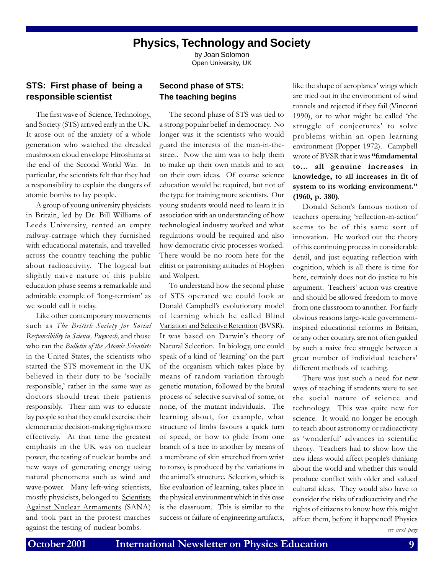# **Physics, Technology and Society**

by Joan Solomon Open University, UK

# **STS: First phase of being a responsible scientist**

The first wave of Science, Technology, and Society (STS) arrived early in the UK. It arose out of the anxiety of a whole generation who watched the dreaded mushroom cloud envelope Hiroshima at the end of the Second World War. In particular, the scientists felt that they had a responsibility to explain the dangers of atomic bombs to lay people.

A group of young university physicists in Britain, led by Dr. Bill Williams of Leeds University, rented an empty railway-carriage which they furnished with educational materials, and travelled across the country teaching the public about radioactivity. The logical but slightly naive nature of this public education phase seems a remarkable and admirable example of 'long-termism' as we would call it today.

Like other contemporary movements such as The British Society for Social Responsibility in Science, Pugwash, and those who ran the Bulletin of the Atomic Scientists in the United States, the scientists who started the STS movement in the UK believed in their duty to be 'socially responsible,' rather in the same way as doctors should treat their patients responsibly. Their aim was to educate lay people so that they could exercise their democractic decision-making rights more effectively. At that time the greatest emphasis in the UK was on nuclear power, the testing of nuclear bombs and new ways of generating energy using natural phenomena such as wind and wave-power. Many left-wing scientists, mostly physicists, belonged to Scientists Against Nuclear Armaments (SANA) and took part in the protest marches against the testing of nuclear bombs.

# **Second phase of STS: The teaching begins**

The second phase of STS was tied to a strong popular belief in democracy. No longer was it the scientists who would guard the interests of the man-in-thestreet. Now the aim was to help them to make up their own minds and to act on their own ideas. Of course science education would be required, but not of the type for training more scientists. Our young students would need to learn it in association with an understanding of how technological industry worked and what regulations would be required and also how democratic civic processes worked. There would be no room here for the elitist or patronising attitudes of Hogben and Wolpert.

To understand how the second phase of STS operated we could look at Donald Campbell's evolutionary model of learning which he called Blind Variation and Selective Retention (BVSR). It was based on Darwin's theory of Natural Selection. In biology, one could speak of a kind of 'learning' on the part of the organism which takes place by means of random variation through genetic mutation, followed by the brutal process of selective survival of some, or none, of the mutant individuals. The learning about, for example, what structure of limbs favours a quick turn of speed, or how to glide from one branch of a tree to another by means of a membrane of skin stretched from wrist to torso, is produced by the variations in the animal's structure. Selection, which is like evaluation of learning, takes place in the physical environment which in this case is the classroom. This is similar to the success or failure of engineering artifacts,

like the shape of aeroplanes' wings which are tried out in the environment of wind tunnels and rejected if they fail (Vincenti 1990), or to what might be called 'the struggle of conjectures' to solve problems within an open learning environment (Popper 1972). Campbell wrote of BVSR that it was "fundamental to... all genuine increases in knowledge, to all increases in fit of system to its working environment." (1960, p. 380).

Donald Schon's famous notion of teachers operating 'reflection-in-action' seems to be of this same sort of innovation. He worked out the theory of this continuing process in considerable detail, and just equating reflection with cognition, which is all there is time for here, certainly does not do justice to his argument. Teachers' action was creative and should be allowed freedom to move from one classroom to another. For fairly obvious reasons large-scale governmentinspired educational reforms in Britain, or any other country, are not often guided by such a naive free struggle between a great number of individual teachers different methods of teaching.

There was just such a need for new ways of teaching if students were to see the social nature of science and technology. This was quite new for science. It would no longer be enough to teach about astronomy or radioactivity as 'wonderful' advances in scientific theory. Teachers had to show how the new ideas would affect people's thinking about the world and whether this would produce conflict with older and valued cultural ideas. They would also have to consider the risks of radioactivity and the rights of citizens to know how this might affect them, before it happened! Physics

see next page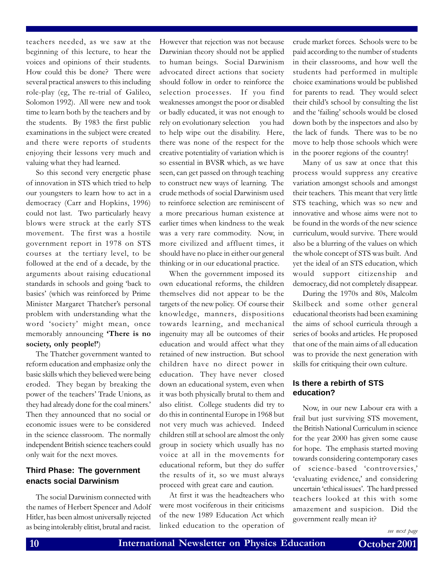teachers needed, as we saw at the beginning of this lecture, to hear the voices and opinions of their students. How could this be done? There were several practical answers to this including role-play (eg, The re-trial of Galileo, Solomon 1992). All were new and took time to learn both by the teachers and by the students. By 1983 the first public examinations in the subject were created and there were reports of students enjoying their lessons very much and valuing what they had learned.

So this second very energetic phase of innovation in STS which tried to help our youngsters to learn how to act in a democracy (Carr and Hopkins, 1996) could not last. Two particularly heavy blows were struck at the early STS movement. The first was a hostile government report in 1978 on STS courses at the tertiary level, to be followed at the end of a decade, by the arguments about raising educational standards in schools and going back to basics' (which was reinforced by Prime Minister Margaret Thatcher's personal problem with understanding what the word 'society' might mean, once memorably announcing There is no society, only people!')

The Thatcher government wanted to reform education and emphasize only the basic skills which they believed were being eroded. They began by breaking the power of the teachers' Trade Unions, as they had already done for the coal miners. Then they announced that no social or economic issues were to be considered in the science classroom. The normally independent British science teachers could only wait for the next moves.

# **Third Phase: The government enacts social Darwinism**

The social Darwinism connected with the names of Herbert Spencer and Adolf Hitler, has been almost universally rejected as being intolerably elitist, brutal and racist.

However that rejection was not because Darwinian theory should not be applied to human beings. Social Darwinism advocated direct actions that society should follow in order to reinforce the selection processes. If you find weaknesses amongst the poor or disabled or badly educated, it was not enough to rely on evolutionary selection — you had to help wipe out the disability. Here, there was none of the respect for the creative potentiality of variation which is so essential in BVSR which, as we have seen, can get passed on through teaching to construct new ways of learning. The crude methods of social Darwinism used to reinforce selection are reminiscent of a more precarious human existence at earlier times when kindness to the weak was a very rare commodity. Now, in more civilized and affluent times, it should have no place in either our general thinking or in our educational practice.

When the government imposed its own educational reforms, the children themselves did not appear to be the targets of the new policy. Of course their knowledge, manners, dispositions towards learning, and mechanical ingenuity may all be outcomes of their education and would affect what they retained of new instruction. But school children have no direct power in education. They have never closed down an educational system, even when it was both physically brutal to them and also elitist. College students did try to do this in continental Europe in 1968 but not very much was achieved. Indeed children still at school are almost the only group in society which usually has no voice at all in the movements for educational reform, but they do suffer the results of it, so we must always proceed with great care and caution.

At first it was the headteachers who were most vociferous in their criticisms of the new 1989 Education Act which linked education to the operation of crude market forces. Schools were to be paid according to the number of students in their classrooms, and how well the students had performed in multiple choice examinations would be published for parents to read. They would select their child's school by consulting the list and the 'failing' schools would be closed down both by the inspectors and also by the lack of funds. There was to be no move to help those schools which were in the poorer regions of the country!

Many of us saw at once that this process would suppress any creative variation amongst schools and amongst their teachers. This meant that very little STS teaching, which was so new and innovative and whose aims were not to be found in the words of the new science curriculum, would survive. There would also be a blurring of the values on which the whole concept of STS was built. And yet the ideal of an STS education, which would support citizenship and democracy, did not completely disappear.

During the 1970s and 80s, Malcolm Skilbeck and some other general educational theorists had been examining the aims of school curricula through a series of books and articles. He proposed that one of the main aims of all education was to provide the next generation with skills for critiquing their own culture.

# **Is there a rebirth of STS education?**

Now, in our new Labour era with a frail but just surviving STS movement, the British National Curriculum in science for the year 2000 has given some cause for hope. The emphasis started moving towards considering contemporary cases of science-based 'controversies,' 'evaluating evidence,' and considering uncertain 'ethical issues'. The hard pressed teachers looked at this with some amazement and suspicion. Did the government really mean it?

see next page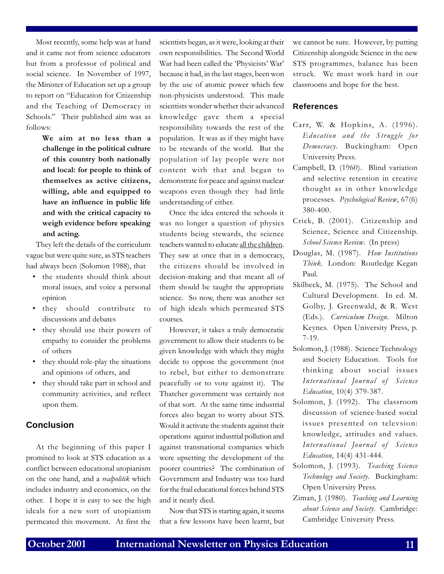Most recently, some help was at hand and it came not from science educators but from a professor of political and social science. In November of 1997, the Minister of Education set up a group to report on "Education for Citizenship and the Teaching of Democracy in Schools." Their published aim was as follows:

> We aim at no less than a challenge in the political culture of this country both nationally and local: for people to think of themselves as active citizens, willing, able and equipped to have an influence in public life and with the critical capacity to weigh evidence before speaking and acting.

They left the details of the curriculum vague but were quite sure, as STS teachers had always been (Solomon 1988), that

- the students should think about moral issues, and voice a personal opinion
- they should contribute to discussions and debates
- they should use their powers of empathy to consider the problems of others
- they should role-play the situations and opinions of others, and
- they should take part in school and community activities, and reflect upon them.

# **Conclusion**

At the beginning of this paper I promised to look at STS education as a conflict between educational utopianism on the one hand, and a *realpolitik* which includes industry and economics, on the other. I hope it is easy to see the high ideals for a new sort of utopianism permeated this movement. At first the scientists began, as it were, looking at their own responsibilities. The Second World War had been called the 'Physicists' War' because it had, in the last stages, been won by the use of atomic power which few non-physicists understood. This made scientists wonder whether their advanced knowledge gave them a special responsibility towards the rest of the population. It was as if they might have to be stewards of the world. But the population of lay people were not content with that and began to demonstrate for peace and against nuclear weapons even though they had little understanding of either.

Once the idea entered the schools it was no longer a question of physics students being stewards, the science teachers wanted to educate all the children. They saw at once that in a democracy, the citizens should be involved in decision-making and that meant all of them should be taught the appropriate science. So now, there was another set of high ideals which permeated STS courses.

However, it takes a truly democratic government to allow their students to be given knowledge with which they might decide to oppose the government (not to rebel, but either to demonstrate peacefully or to vote against it). The Thatcher government was certainly not of that sort. At the same time industrial forces also began to worry about STS. Would it activate the students against their operations against industrial pollution and against transnational companies which were upsetting the development of the poorer countries? The combination of Government and Industry was too hard for the frail educational forces behind STS and it nearly died.

Now that STS is starting again, it seems that a few lessons have been learnt, but we cannot be sure. However, by putting Citizenship alongside Science in the new STS programmes, balance has been struck. We must work hard in our classrooms and hope for the best.

#### **References**

- Carr, W. & Hopkins, A. (1996). Education and the Struggle for Democracy. Buckingham: Open University Press.
- Campbell, D. (1960). Blind variation and selective retention in creative thought as in other knowledge processes. Psychological Review, 67(6) 380-400.
- Crick, B. (2001). Citizenship and Science, Science and Citizenship. School Science Review. (In press)
- Douglas, M. (1987). How Institutions Think. London: Routledge Kegan Paul.
- Skilbeck, M. (1975). The School and Cultural Development. In ed. M. Golby, J. Greenwald, & R. West (Eds.). Curriculum Design. Milton Keynes. Open University Press, p. 7-19.
- Solomon, J. (1988). Science Technology and Society Education. Tools for thinking about social issues International Journal of Science Education, 10(4) 379-387.
- Solomon, J. (1992). The classroom discussion of science-based social issues presented on televsion: knowledge, attitudes and values. International Journal of Science Education, 14(4) 431-444.
- Solomon, J. (1993). Teaching Science Technology and Society. Buckingham: Open University Press.
- Ziman, J. (1980). Teaching and Learning about Science and Society. Cambridge: Cambridge University Press.